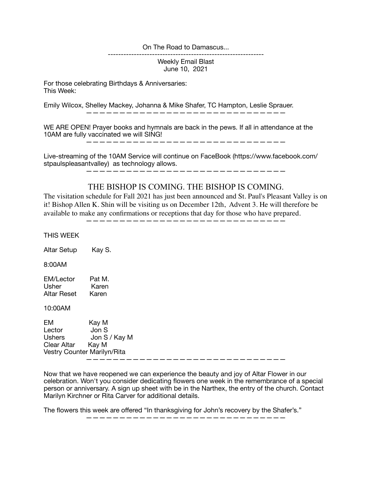On The Road to Damascus...

Weekly Email Blast June 10, 2021

------------------------------------------------------------

For those celebrating Birthdays & Anniversaries: This Week:

Emily Wilcox, Shelley Mackey, Johanna & Mike Shafer, TC Hampton, Leslie Sprauer.

——————————————————————————————

WE ARE OPEN! Prayer books and hymnals are back in the pews. If all in attendance at the 10AM are fully vaccinated we will SING!

——————————————————————————————

Live-streaming of the 10AM Service will continue on FaceBook (https://www.facebook.com/ stpaulspleasantvalley) as technology allows.

——————————————————————————————

## THE BISHOP IS COMING. THE BISHOP IS COMING.

The visitation schedule for Fall 2021 has just been announced and St. Paul's Pleasant Valley is on it! Bishop Allen K. Shin will be visiting us on December 12th, Advent 3. He will therefore be available to make any confirmations or receptions that day for those who have prepared.

——————————————————————————————

THIS WEEK Altar Setup Kay S. 8:00AM EM/Lector Pat M. Usher Karen Altar Reset Karen 10:00AM EM Kay M Lector Jon S Ushers Jon S / Kay M Clear Altar Kay M Vestry Counter Marilyn/Rita ——————————————————————————————

Now that we have reopened we can experience the beauty and joy of Altar Flower in our celebration. Won't you consider dedicating flowers one week in the remembrance of a special person or anniversary. A sign up sheet with be in the Narthex, the entry of the church. Contact Marilyn Kirchner or Rita Carver for additional details.

——————————————————————————————

The flowers this week are offered "In thanksgiving for John's recovery by the Shafer's."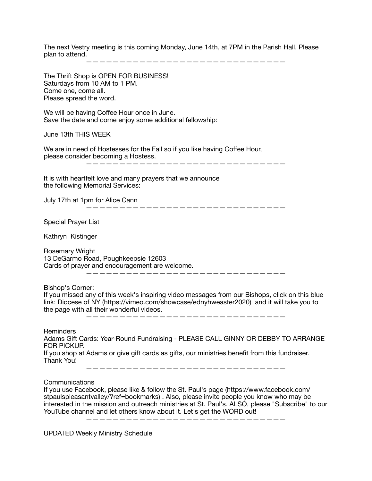The next Vestry meeting is this coming Monday, June 14th, at 7PM in the Parish Hall. Please plan to attend.

——————————————————————————————

The Thrift Shop is OPEN FOR BUSINESS! Saturdays from 10 AM to 1 PM. Come one, come all. Please spread the word. We will be having Coffee Hour once in June. Save the date and come enjoy some additional fellowship: June 13th THIS WEEK We are in need of Hostesses for the Fall so if you like having Coffee Hour, please consider becoming a Hostess. —————————————————————————————— It is with heartfelt love and many prayers that we announce the following Memorial Services: July 17th at 1pm for Alice Cann —————————————————————————————— Special Prayer List Kathryn Kistinger Rosemary Wright 13 DeGarmo Road, Poughkeepsie 12603 Cards of prayer and encouragement are welcome. —————————————————————————————— Bishop's Corner: If you missed any of this week's inspiring video messages from our Bishops, click on this blue link: Diocese of NY (https://vimeo.com/showcase/ednyhweaster2020) and it will take you to the page with all their wonderful videos. —————————————————————————————— **Reminders** Adams Gift Cards: Year-Round Fundraising - PLEASE CALL GINNY OR DEBBY TO ARRANGE FOR PICKUP. If you shop at Adams or give gift cards as gifts, our ministries benefit from this fundraiser. Thank You! —————————————————————————————— Communications If you use Facebook, please like & follow the St. Paul's page (https://www.facebook.com/ stpaulspleasantvalley/?ref=bookmarks) . Also, please invite people you know who may be interested in the mission and outreach ministries at St. Paul's. ALSO, please "Subscribe" to our

YouTube channel and let others know about it. Let's get the WORD out!

——————————————————————————————

UPDATED Weekly Ministry Schedule